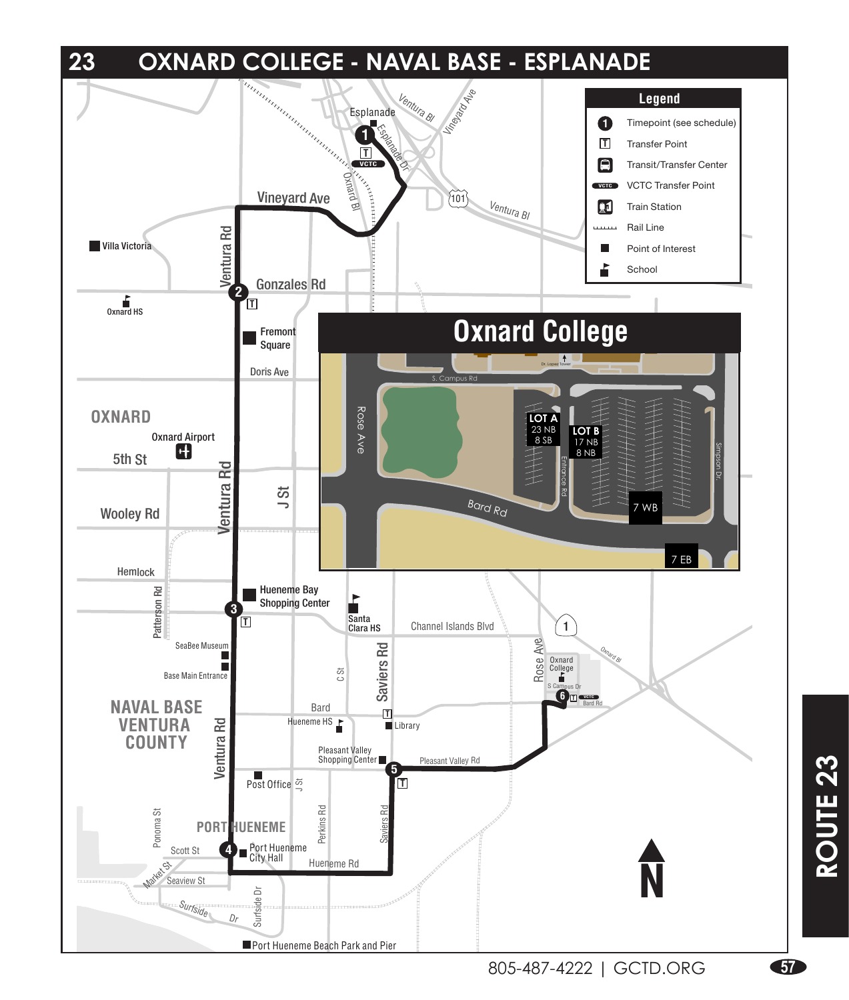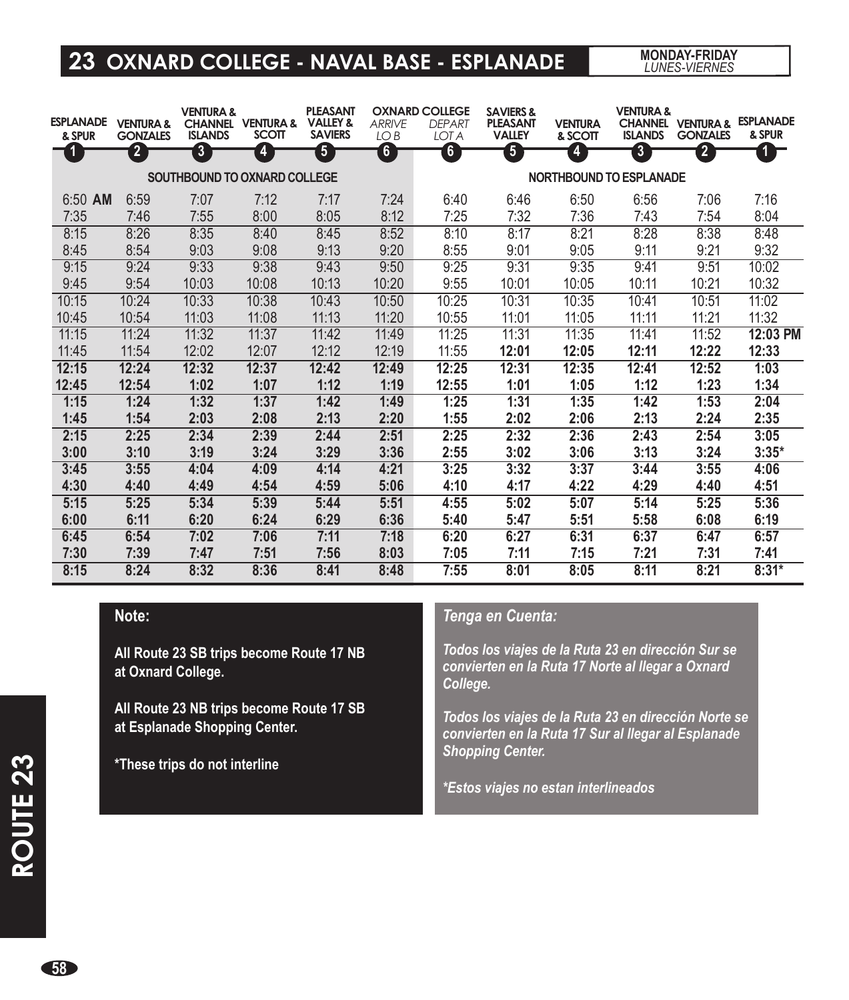### **23 OXNARD COLLEGE - NAVAL BASE - ESPLANADE**

*LUNES-VIERNES*

| <b>ESPLANADE</b><br>& SPUR | <b>VENTURA &amp;</b><br><b>GONZALES</b> | <b>VENTURA &amp;</b><br><b>ISLANDS</b> | <b>CHANNEL VENTURA &amp;</b><br><b>SCOTT</b> | <b>PLEASANT</b><br><b>VALLEY &amp;</b><br><b>SAVIERS</b> | <b>ARRIVE</b><br>LO <sub>B</sub> | <b>OXNARD COLLEGE</b><br><b>DEPART</b><br><b>LOTA</b> | <b>SAVIERS &amp;</b><br><b>PLEASANT</b><br><b>VALLEY</b> | <b>VENTURA</b><br>& SCOTT | <b>VENTURA &amp;</b><br><b>ISLANDS</b> | <b>CHANNEL VENTURA &amp;</b><br><b>GONZALES</b> | <b>ESPLANADE</b><br>& SPUR |
|----------------------------|-----------------------------------------|----------------------------------------|----------------------------------------------|----------------------------------------------------------|----------------------------------|-------------------------------------------------------|----------------------------------------------------------|---------------------------|----------------------------------------|-------------------------------------------------|----------------------------|
| $\mathbf{I}$               | $\overline{2}$                          | $\boxed{3}$                            | 4                                            | $\overline{\mathbf{5}}$                                  | $6 \,$                           | $6 \,$                                                | $\boxed{5}$                                              | 4                         | $\boxed{3}$                            | $\overline{2}$                                  | 1 F                        |
|                            | SOUTHBOUND TO OXNARD COLLEGE            |                                        |                                              |                                                          |                                  | <b>NORTHBOUND TO ESPLANADE</b>                        |                                                          |                           |                                        |                                                 |                            |
| $6:50$ AM                  | 6:59                                    | 7:07                                   | 7:12                                         | 7:17                                                     | 7:24                             | 6:40                                                  | 6:46                                                     | 6:50                      | 6:56                                   | 7:06                                            | 7:16                       |
| 7:35                       | 7:46                                    | 7:55                                   | 8:00                                         | 8:05                                                     | 8:12                             | 7:25                                                  | 7:32                                                     | 7:36                      | 7:43                                   | 7:54                                            | 8:04                       |
| 8:15                       | 8:26                                    | 8:35                                   | 8:40                                         | 8:45                                                     | 8:52                             | 8:10                                                  | 8:17                                                     | 8:21                      | 8:28                                   | 8:38                                            | 8:48                       |
| 8:45                       | 8:54                                    | 9:03                                   | 9:08                                         | 9:13                                                     | 9:20                             | 8:55                                                  | 9:01                                                     | 9:05                      | 9:11                                   | 9:21                                            | 9:32                       |
| 9:15                       | 9:24                                    | 9:33                                   | 9:38                                         | 9:43                                                     | 9:50                             | 9:25                                                  | 9:31                                                     | 9:35                      | 9:41                                   | 9:51                                            | 10:02                      |
| 9:45                       | 9:54                                    | 10:03                                  | 10:08                                        | 10:13                                                    | 10:20                            | 9:55                                                  | 10:01                                                    | 10:05                     | 10:11                                  | 10:21                                           | 10:32                      |
| 10:15                      | 10:24                                   | 10:33                                  | 10:38                                        | 10:43                                                    | 10:50                            | 10:25                                                 | 10:31                                                    | 10:35                     | 10:41                                  | 10:51                                           | 11:02                      |
| 10:45                      | 10:54                                   | 11:03                                  | 11:08                                        | 11:13                                                    | 11:20                            | 10:55                                                 | 11:01                                                    | 11:05                     | 11:11                                  | 11:21                                           | 11:32                      |
| 11:15                      | 11:24                                   | 11:32                                  | 11:37                                        | 11:42                                                    | 11:49                            | 11:25                                                 | 11:31                                                    | 11:35                     | 11:41                                  | 11:52                                           | 12:03 PM                   |
| 11:45                      | 11:54                                   | 12:02                                  | 12:07                                        | 12:12                                                    | 12:19                            | 11:55                                                 | 12:01                                                    | 12:05                     | 12:11                                  | 12:22                                           | 12:33                      |
| 12:15                      | 12:24                                   | 12:32                                  | 12:37                                        | 12:42                                                    | 12:49                            | 12:25                                                 | 12:31                                                    | 12:35                     | 12:41                                  | 12:52                                           | 1:03                       |
| 12:45                      | 12:54                                   | 1:02                                   | 1:07                                         | 1:12                                                     | 1:19                             | 12:55                                                 | 1:01                                                     | 1:05                      | 1:12                                   | 1:23                                            | 1:34                       |
| 1:15                       | 1:24                                    | 1:32                                   | 1:37                                         | 1:42                                                     | 1:49                             | 1:25                                                  | 1:31                                                     | 1:35                      | 1:42                                   | 1:53                                            | 2:04                       |
| 1:45                       | 1:54                                    | 2:03                                   | 2:08                                         | 2:13                                                     | 2:20                             | 1:55                                                  | 2:02                                                     | 2:06                      | 2:13                                   | 2:24                                            | 2:35                       |
| 2:15                       | 2:25                                    | 2:34                                   | 2:39                                         | 2:44                                                     | 2:51                             | 2:25                                                  | 2:32                                                     | 2:36                      | 2:43                                   | 2:54                                            | 3:05                       |
| 3:00                       | 3:10                                    | 3:19                                   | 3:24                                         | 3:29                                                     | 3:36                             | 2:55                                                  | 3:02                                                     | 3:06                      | 3:13                                   | 3:24                                            | $3:35*$                    |
| 3:45                       | 3:55                                    | 4:04                                   | 4:09                                         | 4:14                                                     | 4:21                             | 3:25                                                  | 3:32                                                     | 3:37                      | 3:44                                   | 3:55                                            | 4:06                       |
| 4:30                       | 4:40                                    | 4:49                                   | 4:54                                         | 4:59                                                     | 5:06                             | 4:10                                                  | 4:17                                                     | 4:22                      | 4:29                                   | 4:40                                            | 4:51                       |
| 5:15                       | 5:25                                    | 5:34                                   | 5:39                                         | 5:44                                                     | 5:51                             | 4:55                                                  | 5:02                                                     | 5:07                      | 5:14                                   | 5:25                                            | 5:36                       |
| 6:00                       | 6:11                                    | 6:20                                   | 6:24                                         | 6:29                                                     | 6:36                             | 5:40                                                  | 5:47                                                     | 5:51                      | 5:58                                   | 6:08                                            | 6:19                       |
| 6:45                       | 6:54                                    | 7:02                                   | 7:06                                         | 7:11                                                     | 7:18                             | 6:20                                                  | 6:27                                                     | 6:31                      | 6:37                                   | 6:47                                            | 6:57                       |
| 7:30                       | 7:39                                    | 7:47                                   | 7:51                                         | 7:56                                                     | 8:03                             | 7:05                                                  | 7:11                                                     | 7:15                      | 7:21                                   | 7:31                                            | 7:41                       |
| 8:15                       | 8:24                                    | 8:32                                   | 8:36                                         | 8:41                                                     | 8:48                             | 7:55                                                  | 8:01                                                     | 8:05                      | 8:11                                   | 8:21                                            | $8:31*$                    |

#### **Note:**

**All Route 23 SB trips become Route 17 NB at Oxnard College.**

**All Route 23 NB trips become Route 17 SB at Esplanade Shopping Center.** 

**\*These trips do not interline**

#### *Tenga en Cuenta:*

*Todos los viajes de la Ruta 23 en dirección Sur se convierten en la Ruta 17 Norte al llegar a Oxnard College.*

*Todos los viajes de la Ruta 23 en dirección Norte se convierten en la Ruta 17 Sur al llegar al Esplanade Shopping Center.* 

*\*Estos viajes no estan interlineados*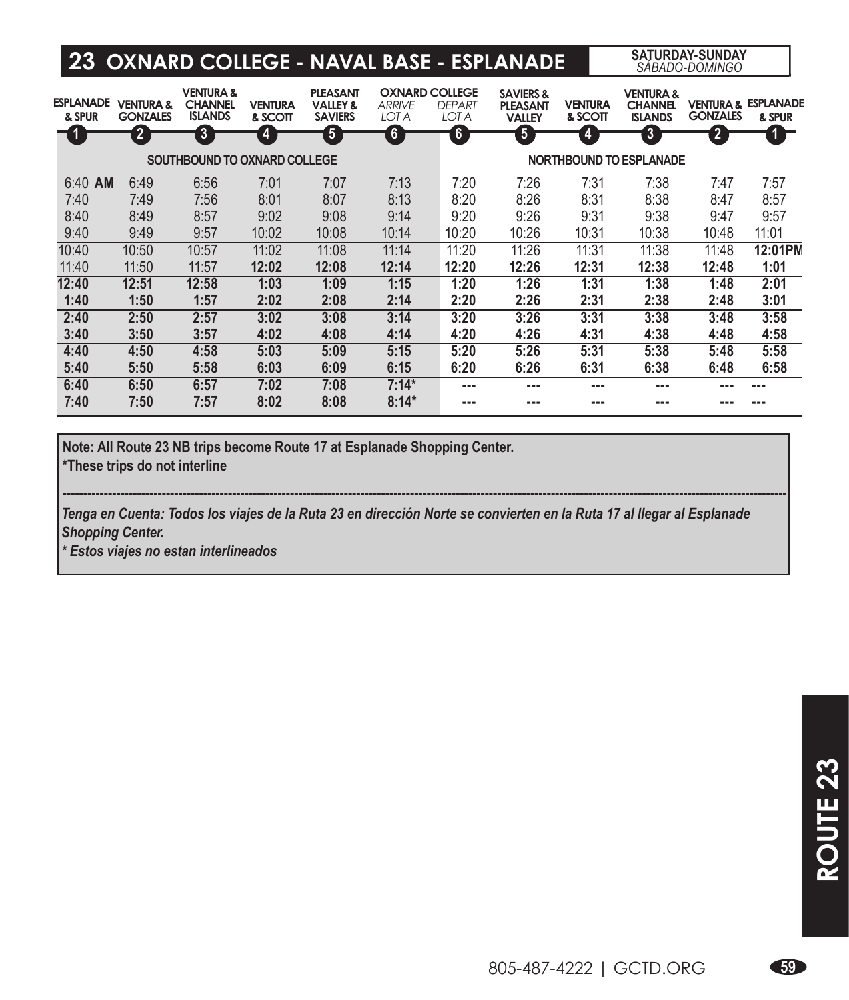## **23 OXNARD COLLEGE - NAVAL BASE - ESPLANADE SATURDAY-SUNDAY** *SÁBADO-DOMINGO*

| <b>ESPLANADE</b><br>& SPUR   | <b>VENTURA &amp;</b><br><b>GONZALES</b> | <b>VENTURA &amp;</b><br><b>CHANNEL</b><br><b>ISLANDS</b> | <b>VENTURA</b><br>& SCOTT | <b>PLEASANT</b><br><b>VALLEY &amp;</b><br><b>SAVIERS</b> | <b>OXNARD COLLEGE</b><br><b>ARRIVE</b><br><b>LOT A</b> | <b>DEPART</b><br><b>LOT A</b> | <b>SAVIERS &amp;</b><br><b>PLEASANT</b><br><b>VALLEY</b> | <b>VENTURA</b><br>& SCOTT | <b>VENTURA &amp;</b><br><b>CHANNEL</b><br><b>ISLANDS</b> | <b>GONZALES</b> | <b>VENTURA &amp; ESPLANADE</b><br>& SPUR |
|------------------------------|-----------------------------------------|----------------------------------------------------------|---------------------------|----------------------------------------------------------|--------------------------------------------------------|-------------------------------|----------------------------------------------------------|---------------------------|----------------------------------------------------------|-----------------|------------------------------------------|
| -4                           | 2                                       | $\overline{3}$                                           | $\overline{4}$            | $\overline{\mathbf{5}}$                                  | $\mathbf{6}$                                           | $\overline{6}$                | $\overline{\bf{5}}$                                      | $\overline{4}$            | $\overline{\mathbf{3}}$                                  | $\overline{2}$  |                                          |
| SOUTHBOUND TO OXNARD COLLEGE |                                         |                                                          |                           |                                                          |                                                        | NORTHBOUND TO ESPLANADE       |                                                          |                           |                                                          |                 |                                          |
| $6:40$ AM                    | 6:49                                    | 6:56                                                     | 7:01                      | 7:07                                                     | 7:13                                                   | 7:20                          | 7:26                                                     | 7:31                      | 7:38                                                     | 7:47            | 7:57                                     |
| 7:40                         | 7:49                                    | 7:56                                                     | 8:01                      | 8:07                                                     | 8:13                                                   | 8:20                          | 8:26                                                     | 8:31                      | 8:38                                                     | 8:47            | 8:57                                     |
| 8:40                         | 8:49                                    | 8:57                                                     | 9:02                      | 9:08                                                     | 9:14                                                   | 9:20                          | 9:26                                                     | 9:31                      | 9:38                                                     | 9:47            | 9:57                                     |
| 9:40                         | 9:49                                    | 9:57                                                     | 10:02                     | 10:08                                                    | 10:14                                                  | 10:20                         | 10:26                                                    | 10:31                     | 10:38                                                    | 10:48           | 11:01                                    |
| 10:40                        | 10:50                                   | 10:57                                                    | 11:02                     | 11:08                                                    | 11:14                                                  | 11:20                         | 11:26                                                    | 11:31                     | 11:38                                                    | 11:48           | 12:01PM                                  |
| 11:40                        | 11:50                                   | 11:57                                                    | 12:02                     | 12:08                                                    | 12:14                                                  | 12:20                         | 12:26                                                    | 12:31                     | 12:38                                                    | 12:48           | 1:01                                     |
| 12:40                        | 12:51                                   | 12:58                                                    | 1:03                      | 1:09                                                     | 1:15                                                   | 1:20                          | 1:26                                                     | 1:31                      | 1:38                                                     | 1:48            | 2:01                                     |
| 1:40                         | 1:50                                    | 1:57                                                     | 2:02                      | 2:08                                                     | 2:14                                                   | 2:20                          | 2:26                                                     | 2:31                      | 2:38                                                     | 2:48            | 3:01                                     |
| 2:40                         | 2:50                                    | 2:57                                                     | 3:02                      | 3:08                                                     | 3:14                                                   | 3:20                          | 3:26                                                     | 3:31                      | 3:38                                                     | 3:48            | 3:58                                     |
| 3:40                         | 3:50                                    | 3:57                                                     | 4:02                      | 4:08                                                     | 4:14                                                   | 4:20                          | 4:26                                                     | 4:31                      | 4:38                                                     | 4:48            | 4:58                                     |
| 4:40                         | 4:50                                    | 4:58                                                     | 5:03                      | 5:09                                                     | 5:15                                                   | 5:20                          | 5:26                                                     | 5:31                      | 5:38                                                     | 5:48            | 5:58                                     |
| 5:40                         | 5:50                                    | 5:58                                                     | 6:03                      | 6:09                                                     | 6:15                                                   | 6:20                          | 6:26                                                     | 6:31                      | 6:38                                                     | 6:48            | 6:58                                     |
| 6:40                         | 6:50                                    | 6:57                                                     | 7:02                      | 7:08                                                     | $7:14*$                                                | ---                           | ---                                                      | ---                       |                                                          | ---             | ---                                      |
| 7:40                         | 7:50                                    | 7:57                                                     | 8:02                      | 8:08                                                     | $8:14*$                                                | ---                           |                                                          | ---                       |                                                          | ---             |                                          |

**Note: All Route 23 NB trips become Route 17 at Esplanade Shopping Center.**

**\*These trips do not interline**

*Tenga en Cuenta: Todos los viajes de la Ruta 23 en dirección Norte se convierten en la Ruta 17 al llegar al Esplanade Shopping Center.* 

**-------------------------------------------------------------------------------------------------------------------------------------------------------------------------------**

*\* Estos viajes no estan interlineados*